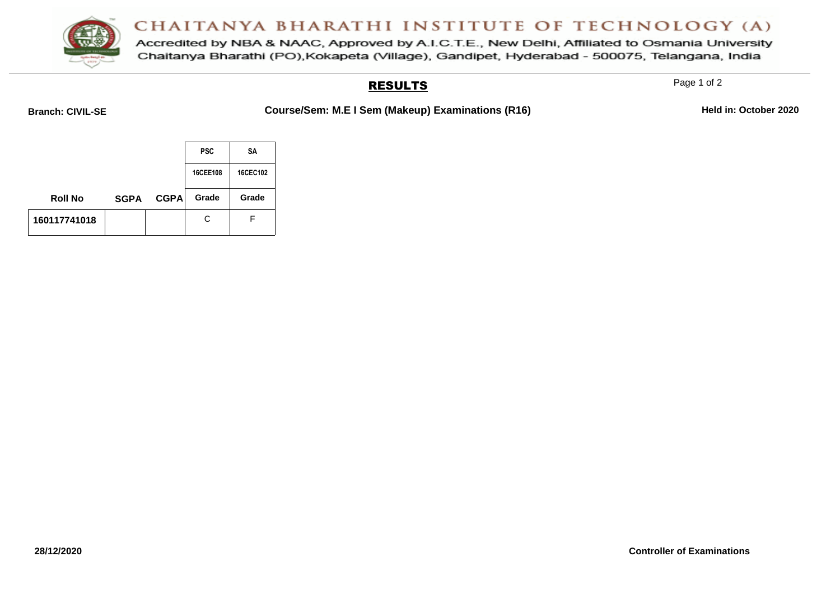

Accredited by NBA & NAAC, Approved by A.I.C.T.E., New Delhi, Affiliated to Osmania University Chaitanya Bharathi (PO), Kokapeta (Village), Gandipet, Hyderabad - 500075, Telangana, India

#### RESULTS

Page 1 of 2

**Branch: CIVIL-SE COURSe/Sem: M.E I Sem (Makeup) Examinations (R16) Held in: October 2020** 

|                |             |             | <b>PSC</b> | SΑ       |
|----------------|-------------|-------------|------------|----------|
|                |             |             | 16CEE108   | 16CEC102 |
| <b>Roll No</b> | <b>SGPA</b> | <b>CGPA</b> | Grade      | Grade    |
| 160117741018   |             |             | С          | F        |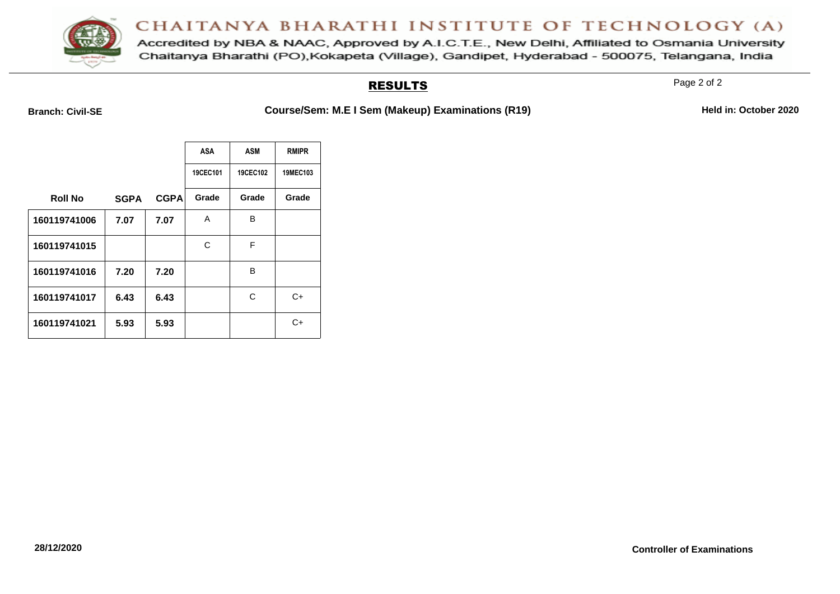

Accredited by NBA & NAAC, Approved by A.I.C.T.E., New Delhi, Affiliated to Osmania University Chaitanya Bharathi (PO), Kokapeta (Village), Gandipet, Hyderabad - 500075, Telangana, India

#### RESULTS

Page 2 of 2

**Branch: Civil-SE COURGE/Sem: M.E I Sem (Makeup) Examinations (R19) Held in: October 2020** 

|                |             |             | <b>ASA</b> | ASM      | <b>RMIPR</b> |
|----------------|-------------|-------------|------------|----------|--------------|
|                |             |             | 19CEC101   | 19CEC102 | 19MEC103     |
| <b>Roll No</b> | <b>SGPA</b> | <b>CGPA</b> | Grade      | Grade    | Grade        |
| 160119741006   | 7.07        | 7.07        | A          | В        |              |
| 160119741015   |             |             | С          | F        |              |
| 160119741016   | 7.20        | 7.20        |            | в        |              |
| 160119741017   | 6.43        | 6.43        |            | С        | C+           |
| 160119741021   | 5.93        | 5.93        |            |          | C+           |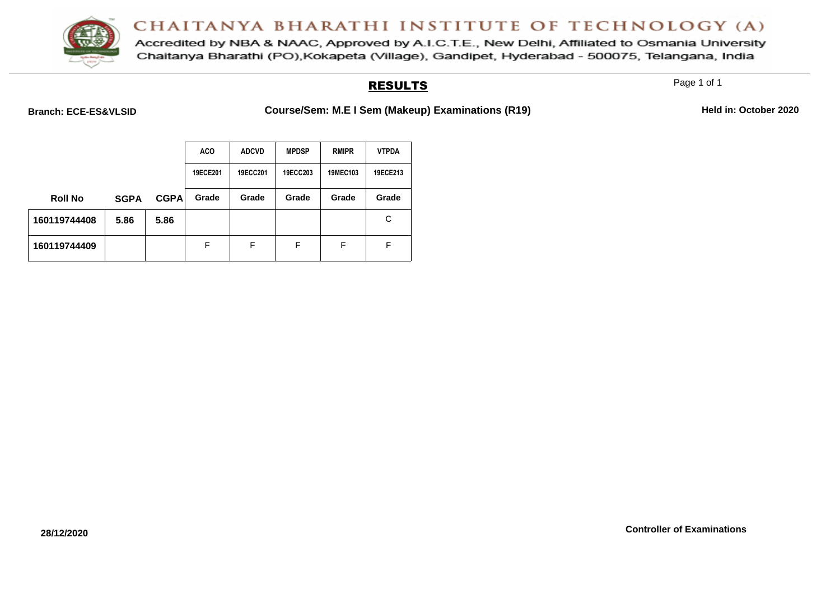

Accredited by NBA & NAAC, Approved by A.I.C.T.E., New Delhi, Affiliated to Osmania University Chaitanya Bharathi (PO), Kokapeta (Village), Gandipet, Hyderabad - 500075, Telangana, India

#### RESULTS

Page 1 of 1

Branch: ECE-ES&VLSID **Course/Sem: M.E I Sem (Makeup) Examinations (R19)** Held in: October 2020

|                |             |             | <b>ACO</b> | <b>ADCVD</b> | <b>MPDSP</b> | <b>RMIPR</b> | <b>VTPDA</b> |
|----------------|-------------|-------------|------------|--------------|--------------|--------------|--------------|
|                |             |             | 19ECE201   | 19ECC201     | 19ECC203     | 19MEC103     | 19ECE213     |
| <b>Roll No</b> | <b>SGPA</b> | <b>CGPA</b> | Grade      | Grade        | Grade        | Grade        | Grade        |
| 160119744408   | 5.86        | 5.86        |            |              |              |              | C            |
| 160119744409   |             |             | F          | F            | F            | F            | F            |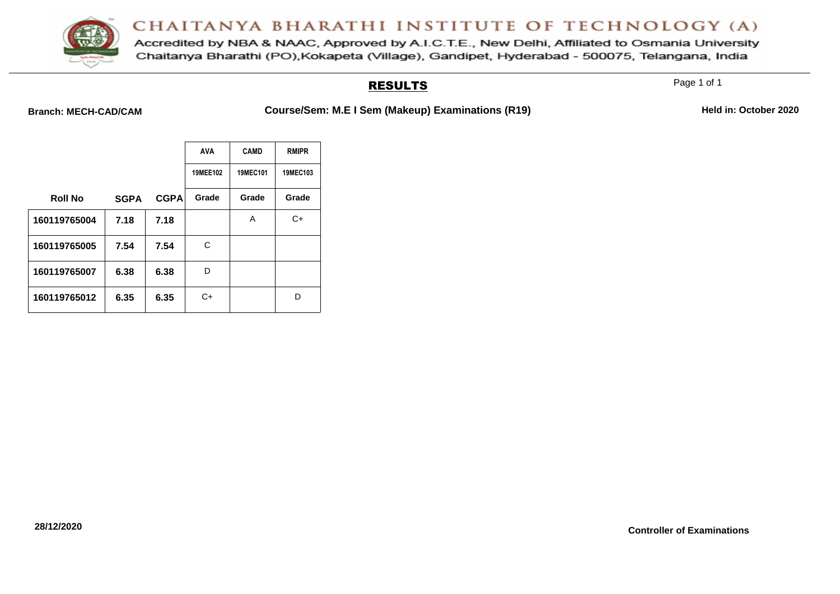

Accredited by NBA & NAAC, Approved by A.I.C.T.E., New Delhi, Affiliated to Osmania University Chaitanya Bharathi (PO), Kokapeta (Village), Gandipet, Hyderabad - 500075, Telangana, India

#### RESULTS

Page 1 of 1

Branch: MECH-CAD/CAM **Course/Sem: M.E I Sem (Makeup) Examinations (R19)** Held in: October 2020

|                |             |             | <b>AVA</b> | <b>CAMD</b> | <b>RMIPR</b> |
|----------------|-------------|-------------|------------|-------------|--------------|
|                |             |             | 19MEE102   | 19MEC101    | 19MEC103     |
| <b>Roll No</b> | <b>SGPA</b> | <b>CGPA</b> | Grade      | Grade       | Grade        |
| 160119765004   | 7.18        | 7.18        |            | Α           | C+           |
| 160119765005   | 7.54        | 7.54        | С          |             |              |
| 160119765007   | 6.38        | 6.38        | D          |             |              |
| 160119765012   | 6.35        | 6.35        | C+         |             | D            |